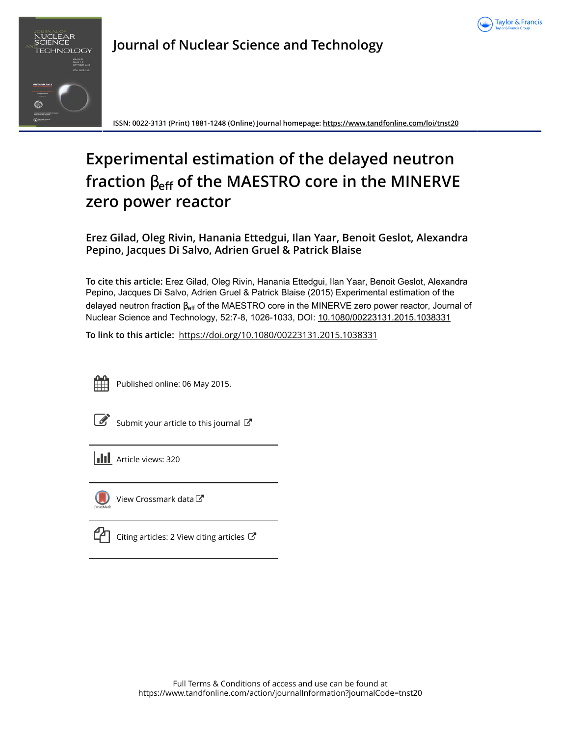



**Journal of Nuclear Science and Technology**

**ISSN: 0022-3131 (Print) 1881-1248 (Online) Journal homepage:<https://www.tandfonline.com/loi/tnst20>**

# **Experimental estimation of the delayed neutron fraction** β**eff of the MAESTRO core in the MINERVE zero power reactor**

**Erez Gilad, Oleg Rivin, Hanania Ettedgui, Ilan Yaar, Benoit Geslot, Alexandra Pepino, Jacques Di Salvo, Adrien Gruel & Patrick Blaise**

**To cite this article:** Erez Gilad, Oleg Rivin, Hanania Ettedgui, Ilan Yaar, Benoit Geslot, Alexandra Pepino, Jacques Di Salvo, Adrien Gruel & Patrick Blaise (2015) Experimental estimation of the delayed neutron fraction β<sub>eff</sub> of the MAESTRO core in the MINERVE zero power reactor, Journal of Nuclear Science and Technology, 52:7-8, 1026-1033, DOI: [10.1080/00223131.2015.1038331](https://www.tandfonline.com/action/showCitFormats?doi=10.1080/00223131.2015.1038331)

**To link to this article:** <https://doi.org/10.1080/00223131.2015.1038331>



Published online: 06 May 2015.

[Submit your article to this journal](https://www.tandfonline.com/action/authorSubmission?journalCode=tnst20&show=instructions)  $\mathbb{Z}$ 

| <b>III</b> Article views: 320 |  |
|-------------------------------|--|
|-------------------------------|--|



[View Crossmark data](http://crossmark.crossref.org/dialog/?doi=10.1080/00223131.2015.1038331&domain=pdf&date_stamp=2015-05-06)<sup>C</sup>

| $\boldsymbol{\mathcal{G}}$ Citing articles: 2 View citing articles $\boldsymbol{\mathcal{G}}$ |  |
|-----------------------------------------------------------------------------------------------|--|
|                                                                                               |  |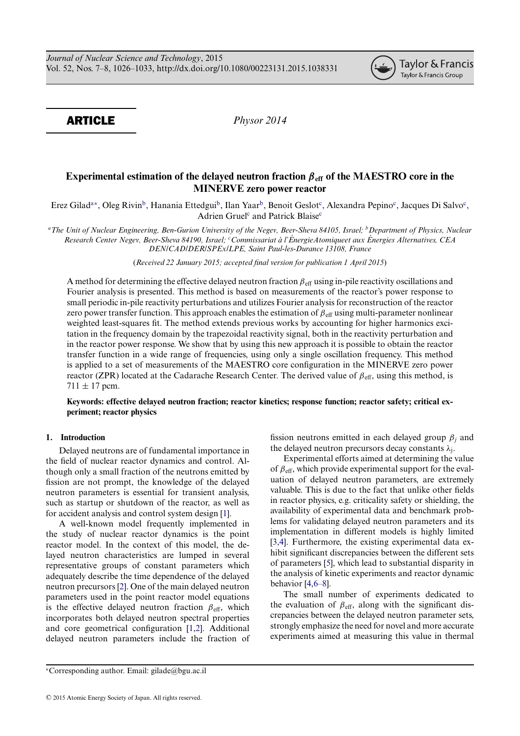ARTICLE *Physor 2014*

## **Experimental estimation of the delayed neutron fraction** *β***eff of the MAESTRO core in the MINERVE zero power reactor**

Erez Gilad<sup>a[∗](#page-1-1)</sup>, Oleg Rivin<sup>b</sup>, Hanania Ettedgui<sup>b</sup>, Ilan Yaar<sup>b</sup>, Benoit Geslot<sup>c</sup>, Alexandra Pepino<sup>c</sup>, Jacques Di Salvo<sup>c</sup>, Adrien Gruel<sup>[c](#page-1-3)</sup> and Patrick Blaise<sup>c</sup>

<span id="page-1-0"></span>*aThe Unit of Nuclear Engineering, Ben-Gurion University of the Negev, Beer-Sheva 84105, Israel; bDepartment of Physics, Nuclear Research Center Negev, Beer-Sheva 84190, Israel; <sup>c</sup> Commissariat a l' ` EnergieAtomiqueet aux ´ Energies Alternatives, CEA ´ DEN/CAD/DER/SPEx/LPE, Saint Paul-les-Durance 13108, France*

<span id="page-1-3"></span>(*Received 22 January 2015; accepted final version for publication 1 April 2015*)

A method for determining the effective delayed neutron fraction  $\beta_{\text{eff}}$  using in-pile reactivity oscillations and Fourier analysis is presented. This method is based on measurements of the reactor's power response to small periodic in-pile reactivity perturbations and utilizes Fourier analysis for reconstruction of the reactor zero power transfer function. This approach enables the estimation of  $\beta_{\text{eff}}$  using multi-parameter nonlinear weighted least-squares fit. The method extends previous works by accounting for higher harmonics excitation in the frequency domain by the trapezoidal reactivity signal, both in the reactivity perturbation and in the reactor power response. We show that by using this new approach it is possible to obtain the reactor transfer function in a wide range of frequencies, using only a single oscillation frequency. This method is applied to a set of measurements of the MAESTRO core configuration in the MINERVE zero power reactor (ZPR) located at the Cadarache Research Center. The derived value of  $\beta_{\text{eff}}$ , using this method, is  $711 \pm 17$  pcm.

## **Keywords: effective delayed neutron fraction; reactor kinetics; response function; reactor safety; critical experiment; reactor physics**

## **1. Introduction**

Delayed neutrons are of fundamental importance in the field of nuclear reactor dynamics and control. Although only a small fraction of the neutrons emitted by fission are not prompt, the knowledge of the delayed neutron parameters is essential for transient analysis, such as startup or shutdown of the reactor, as well as for accident analysis and control system design [\[1\]](#page-7-0).

A well-known model frequently implemented in the study of nuclear reactor dynamics is the point reactor model. In the context of this model, the delayed neutron characteristics are lumped in several representative groups of constant parameters which adequately describe the time dependence of the delayed neutron precursors [\[2\]](#page-7-1). One of the main delayed neutron parameters used in the point reactor model equations is the effective delayed neutron fraction  $\beta_{\text{eff}}$ , which incorporates both delayed neutron spectral properties and core geometrical configuration [\[1](#page-7-0)[,2\]](#page-7-1). Additional delayed neutron parameters include the fraction of <span id="page-1-2"></span>fission neutrons emitted in each delayed group  $\beta_i$  and the delayed neutron precursors decay constants  $\lambda_i$ .

Experimental efforts aimed at determining the value of  $\beta_{\text{eff}}$ , which provide experimental support for the evaluation of delayed neutron parameters, are extremely valuable. This is due to the fact that unlike other fields in reactor physics, e.g. criticality safety or shielding, the availability of experimental data and benchmark problems for validating delayed neutron parameters and its implementation in different models is highly limited [\[3](#page-7-2)[,4\]](#page-7-3). Furthermore, the existing experimental data exhibit significant discrepancies between the different sets of parameters [\[5\]](#page-7-4), which lead to substantial disparity in the analysis of kinetic experiments and reactor dynamic behavior [\[4](#page-7-3)[,6–8\]](#page-7-5).

The small number of experiments dedicated to the evaluation of  $\beta_{\text{eff}}$ , along with the significant discrepancies between the delayed neutron parameter sets, strongly emphasize the need for novel and more accurate experiments aimed at measuring this value in thermal

<span id="page-1-1"></span><sup>∗</sup>Corresponding author. Email: [gilade@bgu.ac.il](mailto:gilade@bgu.ac.il)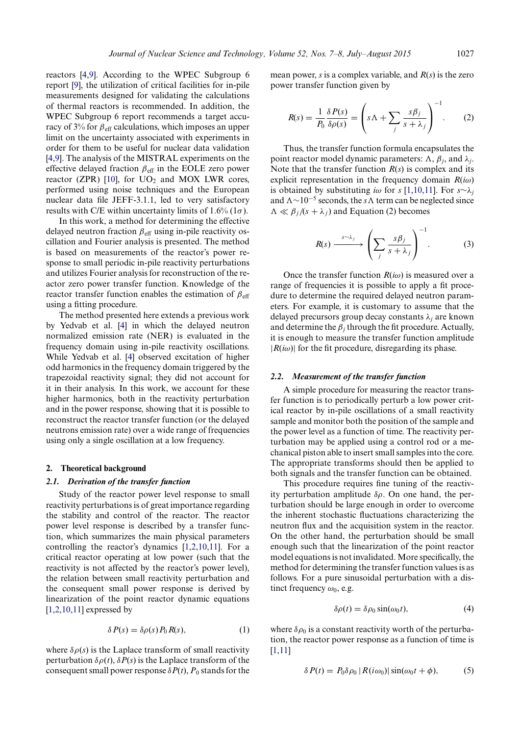reactors [\[4](#page-7-3)[,9\]](#page-7-6). According to the WPEC Subgroup 6 report [\[9\]](#page-7-6), the utilization of critical facilities for in-pile measurements designed for validating the calculations of thermal reactors is recommended. In addition, the WPEC Subgroup 6 report recommends a target accuracy of 3% for  $\beta_{\text{eff}}$  calculations, which imposes an upper limit on the uncertainty associated with experiments in order for them to be useful for nuclear data validation [\[4](#page-7-3)[,9\]](#page-7-6). The analysis of the MISTRAL experiments on the effective delayed fraction  $\beta_{\text{eff}}$  in the EOLE zero power reactor (ZPR) [\[10\]](#page-7-7), for  $UO<sub>2</sub>$  and MOX LWR cores, performed using noise techniques and the European nuclear data file JEFF-3.1.1, led to very satisfactory results with C/E within uncertainty limits of 1.6% (1 $\sigma$ ).

In this work, a method for determining the effective delayed neutron fraction  $\beta_{\text{eff}}$  using in-pile reactivity oscillation and Fourier analysis is presented. The method is based on measurements of the reactor's power response to small periodic in-pile reactivity perturbations and utilizes Fourier analysis for reconstruction of the reactor zero power transfer function. Knowledge of the reactor transfer function enables the estimation of  $\beta_{\text{eff}}$ using a fitting procedure.

The method presented here extends a previous work by Yedvab et al. [\[4\]](#page-7-3) in which the delayed neutron normalized emission rate (NER) is evaluated in the frequency domain using in-pile reactivity oscillations. While Yedvab et al. [\[4\]](#page-7-3) observed excitation of higher odd harmonics in the frequency domain triggered by the trapezoidal reactivity signal; they did not account for it in their analysis. In this work, we account for these higher harmonics, both in the reactivity perturbation and in the power response, showing that it is possible to reconstruct the reactor transfer function (or the delayed neutrons emission rate) over a wide range of frequencies using only a single oscillation at a low frequency.

#### **2. Theoretical background**

#### *2.1. Derivation of the transfer function*

Study of the reactor power level response to small reactivity perturbations is of great importance regarding the stability and control of the reactor. The reactor power level response is described by a transfer function, which summarizes the main physical parameters controlling the reactor's dynamics [\[1,](#page-7-0)[2](#page-7-1)[,10,](#page-7-7)[11\]](#page-7-8). For a critical reactor operating at low power (such that the reactivity is not affected by the reactor's power level), the relation between small reactivity perturbation and the consequent small power response is derived by linearization of the point reactor dynamic equations  $[1,2,10,11]$  $[1,2,10,11]$  $[1,2,10,11]$  $[1,2,10,11]$  expressed by

$$
\delta P(s) = \delta \rho(s) P_0 R(s), \tag{1}
$$

where  $\delta \rho(s)$  is the Laplace transform of small reactivity perturbation  $\delta \rho(t)$ ,  $\delta P(s)$  is the Laplace transform of the consequent small power response  $\delta P(t)$ ,  $P_0$  stands for the

mean power, *s* is a complex variable, and *R*(*s*) is the zero power transfer function given by

$$
R(s) = \frac{1}{P_0} \frac{\delta P(s)}{\delta \rho(s)} = \left( s\Lambda + \sum_j \frac{s\beta_j}{s + \lambda_j} \right)^{-1}.
$$
 (2)

Thus, the transfer function formula encapsulates the point reactor model dynamic parameters:  $\Lambda$ ,  $\beta_i$ , and  $\lambda_i$ . Note that the transfer function  $R(s)$  is complex and its explicit representation in the frequency domain *R*(*i*ω) is obtained by substituting *i*ω for *s* [\[1](#page-7-0)[,10](#page-7-7)[,11\]](#page-7-8). For  $s \sim \lambda_j$ and  $Λ \sim 10^{-5}$  seconds, the *s*  $Λ$  term can be neglected since  $\Lambda \ll \beta_i/(s + \lambda_i)$  and Equation (2) becomes

$$
R(s) \xrightarrow{s \sim \lambda_j} \left( \sum_j \frac{s \beta_j}{s + \lambda_j} \right)^{-1}.
$$
 (3)

Once the transfer function  $R(i\omega)$  is measured over a range of frequencies it is possible to apply a fit procedure to determine the required delayed neutron parameters. For example, it is customary to assume that the delayed precursors group decay constants λ*<sup>j</sup>* are known and determine the  $\beta_i$  through the fit procedure. Actually, it is enough to measure the transfer function amplitude  $|R(i\omega)|$  for the fit procedure, disregarding its phase.

#### *2.2. Measurement of the transfer function*

A simple procedure for measuring the reactor transfer function is to periodically perturb a low power critical reactor by in-pile oscillations of a small reactivity sample and monitor both the position of the sample and the power level as a function of time. The reactivity perturbation may be applied using a control rod or a mechanical piston able to insert small samples into the core. The appropriate transforms should then be applied to both signals and the transfer function can be obtained.

This procedure requires fine tuning of the reactivity perturbation amplitude  $\delta \rho$ . On one hand, the perturbation should be large enough in order to overcome the inherent stochastic fluctuations characterizing the neutron flux and the acquisition system in the reactor. On the other hand, the perturbation should be small enough such that the linearization of the point reactor model equations is not invalidated. More specifically, the method for determining the transfer function values is as follows. For a pure sinusoidal perturbation with a distinct frequency  $\omega_0$ , e.g.

$$
\delta \rho(t) = \delta \rho_0 \sin(\omega_0 t), \tag{4}
$$

where  $\delta \rho_0$  is a constant reactivity worth of the perturbation, the reactor power response as a function of time is [\[1](#page-7-0)[,11\]](#page-7-8)

$$
\delta P(t) = P_0 \delta \rho_0 \left| R(i\omega_0) \right| \sin(\omega_0 t + \phi), \tag{5}
$$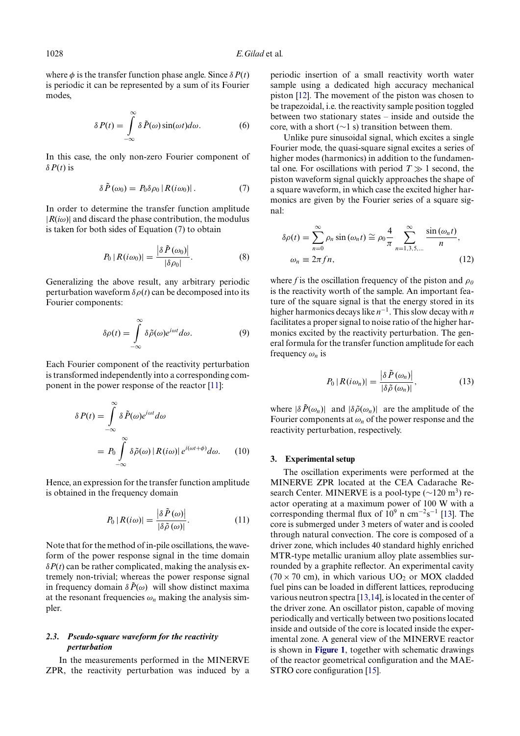where  $\phi$  is the transfer function phase angle. Since  $\delta P(t)$ is periodic it can be represented by a sum of its Fourier modes,

$$
\delta P(t) = \int_{-\infty}^{\infty} \delta \tilde{P}(\omega) \sin(\omega t) d\omega.
$$
 (6)

In this case, the only non-zero Fourier component of δ $P(t)$  is

$$
\delta \tilde{P}(\omega_0) = P_0 \delta \rho_0 |R(i\omega_0)|. \tag{7}
$$

In order to determine the transfer function amplitude  $|R(i\omega)|$  and discard the phase contribution, the modulus is taken for both sides of Equation (7) to obtain

$$
P_0 | R(i\omega_0)| = \frac{\left|\delta \tilde{P}(\omega_0)\right|}{\left|\delta \rho_0\right|}.
$$
 (8)

Generalizing the above result, any arbitrary periodic perturbation waveform  $\delta \rho(t)$  can be decomposed into its Fourier components:

$$
\delta \rho(t) = \int_{-\infty}^{\infty} \delta \tilde{\rho}(\omega) e^{i\omega t} d\omega.
$$
 (9)

Each Fourier component of the reactivity perturbation is transformed independently into a corresponding component in the power response of the reactor [\[11\]](#page-7-8):

$$
\delta P(t) = \int_{-\infty}^{\infty} \delta \tilde{P}(\omega) e^{i\omega t} d\omega
$$
  
=  $P_0 \int_{-\infty}^{\infty} \delta \tilde{\rho}(\omega) |R(i\omega)| e^{i(\omega t + \phi)} d\omega.$  (10)

Hence, an expression for the transfer function amplitude is obtained in the frequency domain

$$
P_0 | R(i\omega) | = \frac{\left| \delta \tilde{P}(\omega) \right|}{\left| \delta \tilde{\rho}(\omega) \right|}.
$$
 (11)

Note that for the method of in-pile oscillations, the waveform of the power response signal in the time domain  $\delta P(t)$  can be rather complicated, making the analysis extremely non-trivial; whereas the power response signal in frequency domain  $\delta \tilde{P}(\omega)$  will show distinct maxima at the resonant frequencies  $\omega_n$  making the analysis simpler.

### *2.3. Pseudo-square waveform for the reactivity perturbation*

In the measurements performed in the MINERVE ZPR, the reactivity perturbation was induced by a periodic insertion of a small reactivity worth water sample using a dedicated high accuracy mechanical piston [\[12\]](#page-7-9). The movement of the piston was chosen to be trapezoidal, i.e. the reactivity sample position toggled between two stationary states – inside and outside the core, with a short (∼1 s) transition between them.

Unlike pure sinusoidal signal, which excites a single Fourier mode, the quasi-square signal excites a series of higher modes (harmonics) in addition to the fundamental one. For oscillations with period  $T \gg 1$  second, the piston waveform signal quickly approaches the shape of a square waveform, in which case the excited higher harmonics are given by the Fourier series of a square signal:

$$
\delta \rho(t) = \sum_{n=0}^{\infty} \rho_n \sin(\omega_n t) \approx \rho_0 \frac{4}{\pi} \sum_{n=1,3,5,\dots}^{\infty} \frac{\sin(\omega_n t)}{n},
$$
  

$$
\omega_n \equiv 2\pi f n,
$$
 (12)

where *f* is the oscillation frequency of the piston and  $\rho_0$ is the reactivity worth of the sample. An important feature of the square signal is that the energy stored in its higher harmonics decays like *n*−1. This slow decay with *n* facilitates a proper signal to noise ratio of the higher harmonics excited by the reactivity perturbation. The general formula for the transfer function amplitude for each frequency  $\omega_n$  is

$$
P_0 | R(i\omega_n)| = \frac{|\delta \tilde{P}(\omega_n)|}{|\delta \tilde{\rho}(\omega_n)|},
$$
\n(13)

where  $|\delta \tilde{P}(\omega_n)|$  and  $|\delta \tilde{\rho}(\omega_n)|$  are the amplitude of the Fourier components at  $\omega_n$  of the power response and the reactivity perturbation, respectively.

#### **3. Experimental setup**

The oscillation experiments were performed at the MINERVE ZPR located at the CEA Cadarache Research Center. MINERVE is a pool-type  $(\sim 120 \text{ m}^3)$  reactor operating at a maximum power of 100 W with a corresponding thermal flux of  $10^9$  n cm<sup>-2</sup>s<sup>-1</sup> [\[13\]](#page-7-10). The core is submerged under 3 meters of water and is cooled through natural convection. The core is composed of a driver zone, which includes 40 standard highly enriched MTR-type metallic uranium alloy plate assemblies surrounded by a graphite reflector. An experimental cavity (70  $\times$  70 cm), in which various UO<sub>2</sub> or MOX cladded fuel pins can be loaded in different lattices, reproducing various neutron spectra [\[13](#page-7-10)[,14\]](#page-7-11), is located in the center of the driver zone. An oscillator piston, capable of moving periodically and vertically between two positions located inside and outside of the core is located inside the experimental zone. A general view of the MINERVE reactor is shown in **[Figure 1](#page-4-0)**, together with schematic drawings of the reactor geometrical configuration and the MAE-STRO core configuration [\[15\]](#page-7-12).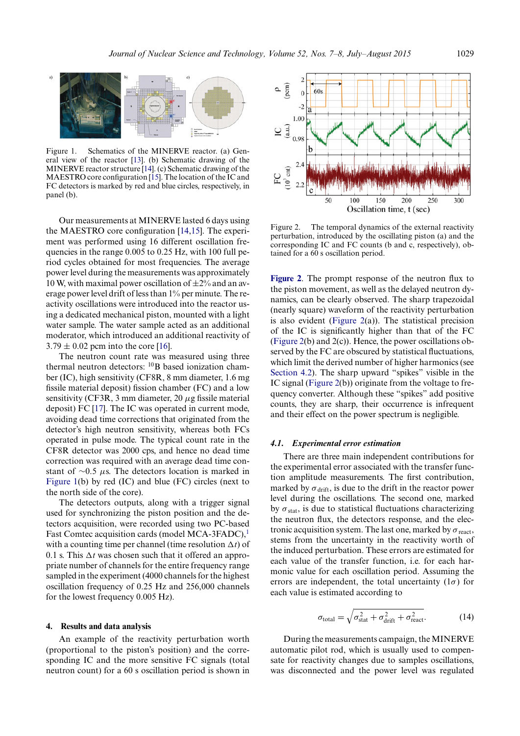<span id="page-4-0"></span>

Figure 1. Schematics of the MINERVE reactor. (a) General view of the reactor [\[13\]](#page-7-10). (b) Schematic drawing of the MINERVE reactor structure [\[14\]](#page-7-11). (c) Schematic drawing of the MAESTRO core configuration [\[15\]](#page-7-12). The location of the IC and FC detectors is marked by red and blue circles, respectively, in panel (b).

Our measurements at MINERVE lasted 6 days using the MAESTRO core configuration [\[14](#page-7-11)[,15\]](#page-7-12). The experiment was performed using 16 different oscillation frequencies in the range 0.005 to 0.25 Hz, with 100 full period cycles obtained for most frequencies. The average power level during the measurements was approximately 10 W, with maximal power oscillation of  $\pm 2\%$  and an average power level drift of less than 1% per minute. The reactivity oscillations were introduced into the reactor using a dedicated mechanical piston, mounted with a light water sample. The water sample acted as an additional moderator, which introduced an additional reactivity of  $3.79 \pm 0.02$  pcm into the core [\[16\]](#page-8-0).

The neutron count rate was measured using three thermal neutron detectors: <sup>10</sup>B based ionization chamber (IC), high sensitivity (CF8R, 8 mm diameter, 1.6 mg fissile material deposit) fission chamber (FC) and a low sensitivity (CF3R, 3 mm diameter,  $20 \mu$ g fissile material deposit) FC [\[17\]](#page-8-1). The IC was operated in current mode, avoiding dead time corrections that originated from the detector's high neutron sensitivity, whereas both FCs operated in pulse mode. The typical count rate in the CF8R detector was 2000 cps, and hence no dead time correction was required with an average dead time constant of  $\sim$ 0.5 μs. The detectors location is marked in [Figure 1\(](#page-4-0)b) by red (IC) and blue (FC) circles (next to the north side of the core).

The detectors outputs, along with a trigger signal used for synchronizing the piston position and the detectors acquisition, were recorded using two PC-based Fast Comtec acquisition cards (model MCA-3FADC),<sup>[1](#page-7-13)</sup> with a counting time per channel (time resolution  $\Delta t$ ) of 0.1 s. This  $\Delta t$  was chosen such that it offered an appropriate number of channels for the entire frequency range sampled in the experiment (4000 channels for the highest oscillation frequency of 0.25 Hz and 256,000 channels for the lowest frequency 0.005 Hz).

#### **4. Results and data analysis**

An example of the reactivity perturbation worth (proportional to the piston's position) and the corresponding IC and the more sensitive FC signals (total neutron count) for a 60 s oscillation period is shown in

<span id="page-4-1"></span>

Figure 2. The temporal dynamics of the external reactivity perturbation, introduced by the oscillating piston (a) and the corresponding IC and FC counts (b and c, respectively), obtained for a 60 s oscillation period.

**[Figure 2](#page-4-1)**. The prompt response of the neutron flux to the piston movement, as well as the delayed neutron dynamics, can be clearly observed. The sharp trapezoidal (nearly square) waveform of the reactivity perturbation is also evident [\(Figure 2\(](#page-4-1)a)). The statistical precision of the IC is significantly higher than that of the FC [\(Figure 2\(](#page-4-1)b) and 2(c)). Hence, the power oscillations observed by the FC are obscured by statistical fluctuations, which limit the derived number of higher harmonics (see [Section 4.2\)](#page-5-0). The sharp upward "spikes" visible in the IC signal [\(Figure 2\(](#page-4-1)b)) originate from the voltage to frequency converter. Although these "spikes" add positive counts, they are sharp, their occurrence is infrequent and their effect on the power spectrum is negligible.

#### *4.1. Experimental error estimation*

<span id="page-4-2"></span>There are three main independent contributions for the experimental error associated with the transfer function amplitude measurements. The first contribution, marked by  $\sigma_{\text{drift}}$ , is due to the drift in the reactor power level during the oscillations. The second one, marked by  $\sigma_{\text{stat}}$ , is due to statistical fluctuations characterizing the neutron flux, the detectors response, and the electronic acquisition system. The last one, marked by  $\sigma$ <sub>react</sub>, stems from the uncertainty in the reactivity worth of the induced perturbation. These errors are estimated for each value of the transfer function, i.e. for each harmonic value for each oscillation period. Assuming the errors are independent, the total uncertainty  $(1\sigma)$  for each value is estimated according to

$$
\sigma_{\text{total}} = \sqrt{\sigma_{\text{stat}}^2 + \sigma_{\text{drift}}^2 + \sigma_{\text{react}}^2}.
$$
 (14)

During the measurements campaign, the MINERVE automatic pilot rod, which is usually used to compensate for reactivity changes due to samples oscillations, was disconnected and the power level was regulated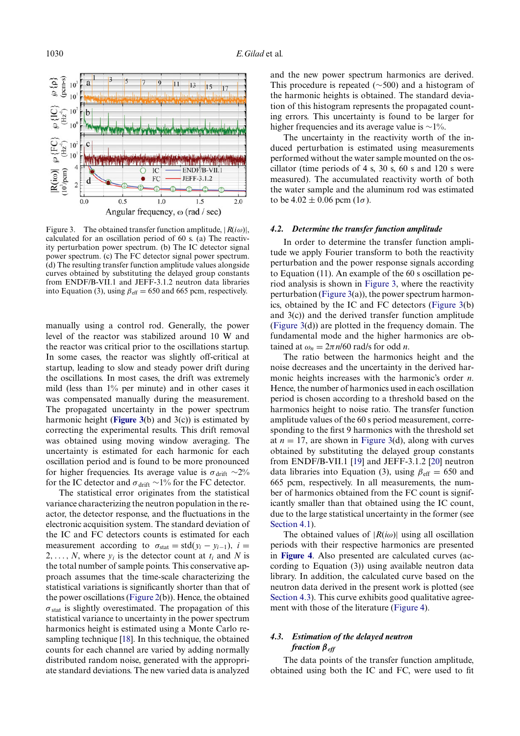<span id="page-5-1"></span>

Figure 3. The obtained transfer function amplitude,  $|R(i\omega)|$ , calculated for an oscillation period of 60 s. (a) The reactivity perturbation power spectrum. (b) The IC detector signal power spectrum. (c) The FC detector signal power spectrum. (d) The resulting transfer function amplitude values alongside curves obtained by substituting the delayed group constants from ENDF/B-VII.1 and JEFF-3.1.2 neutron data libraries into Equation (3), using  $\beta_{\text{eff}} = 650$  and 665 pcm, respectively.

manually using a control rod. Generally, the power level of the reactor was stabilized around 10 W and the reactor was critical prior to the oscillations startup. In some cases, the reactor was slightly off-critical at startup, leading to slow and steady power drift during the oscillations. In most cases, the drift was extremely mild (less than 1% per minute) and in other cases it was compensated manually during the measurement. The propagated uncertainty in the power spectrum harmonic height (**[Figure 3](#page-5-1)**(b) and 3(c)) is estimated by correcting the experimental results. This drift removal was obtained using moving window averaging. The uncertainty is estimated for each harmonic for each oscillation period and is found to be more pronounced for higher frequencies. Its average value is  $\sigma_{\text{drift}} \sim 2\%$ for the IC detector and  $\sigma_{\text{drift}} \sim 1\%$  for the FC detector.

The statistical error originates from the statistical variance characterizing the neutron population in the reactor, the detector response, and the fluctuations in the electronic acquisition system. The standard deviation of the IC and FC detectors counts is estimated for each measurement according to  $\sigma_{stat} = std(y_i - y_{i-1}), i =$ 2, ..., *N*, where  $y_i$  is the detector count at  $t_i$  and *N* is the total number of sample points. This conservative approach assumes that the time-scale characterizing the statistical variations is significantly shorter than that of the power oscillations [\(Figure 2\(](#page-4-1)b)). Hence, the obtained  $\sigma_{stat}$  is slightly overestimated. The propagation of this statistical variance to uncertainty in the power spectrum harmonics height is estimated using a Monte Carlo resampling technique [\[18\]](#page-8-2). In this technique, the obtained counts for each channel are varied by adding normally distributed random noise, generated with the appropriate standard deviations. The new varied data is analyzed

and the new power spectrum harmonics are derived. This procedure is repeated (∼500) and a histogram of the harmonic heights is obtained. The standard deviation of this histogram represents the propagated counting errors. This uncertainty is found to be larger for higher frequencies and its average value is ∼1%.

The uncertainty in the reactivity worth of the induced perturbation is estimated using measurements performed without the water sample mounted on the oscillator (time periods of 4 s, 30 s, 60 s and 120 s were measured). The accumulated reactivity worth of both the water sample and the aluminum rod was estimated to be  $4.02 \pm 0.06$  pcm  $(1\sigma)$ .

#### *4.2. Determine the transfer function amplitude*

<span id="page-5-0"></span>In order to determine the transfer function amplitude we apply Fourier transform to both the reactivity perturbation and the power response signals according to Equation (11). An example of the 60 s oscillation period analysis is shown in [Figure 3,](#page-5-1) where the reactivity perturbation [\(Figure 3\(](#page-5-1)a)), the power spectrum harmonics, obtained by the IC and FC detectors [\(Figure 3\(](#page-5-1)b) and 3(c)) and the derived transfer function amplitude [\(Figure 3\(](#page-5-1)d)) are plotted in the frequency domain. The fundamental mode and the higher harmonics are obtained at  $\omega_n = 2\pi n/60$  rad/s for odd *n*.

The ratio between the harmonics height and the noise decreases and the uncertainty in the derived harmonic heights increases with the harmonic's order *n*. Hence, the number of harmonics used in each oscillation period is chosen according to a threshold based on the harmonics height to noise ratio. The transfer function amplitude values of the 60 s period measurement, corresponding to the first 9 harmonics with the threshold set at  $n = 17$ , are shown in [Figure 3\(](#page-5-1)d), along with curves obtained by substituting the delayed group constants from ENDF/B-VII.1 [\[19\]](#page-8-3) and JEFF-3.1.2 [\[20\]](#page-8-4) neutron data libraries into Equation (3), using  $\beta_{\text{eff}} = 650$  and 665 pcm, respectively. In all measurements, the number of harmonics obtained from the FC count is significantly smaller than that obtained using the IC count, due to the large statistical uncertainty in the former (see [Section 4.1\)](#page-4-2).

The obtained values of  $|R(i\omega)|$  using all oscillation periods with their respective harmonics are presented in **[Figure 4](#page-6-0)**. Also presented are calculated curves (according to Equation (3)) using available neutron data library. In addition, the calculated curve based on the neutron data derived in the present work is plotted (see [Section 4.3\)](#page-5-2). This curve exhibits good qualitative agreement with those of the literature [\(Figure 4\)](#page-6-0).

## <span id="page-5-2"></span>*4.3. Estimation of the delayed neutron fraction βeff*

The data points of the transfer function amplitude, obtained using both the IC and FC, were used to fit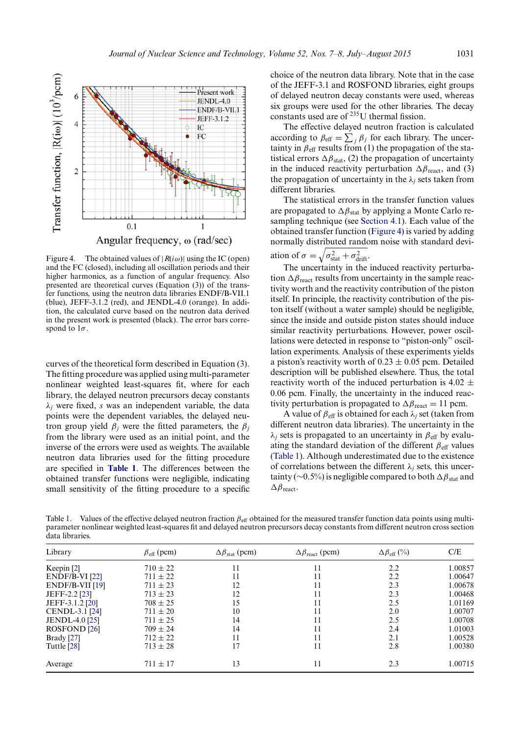<span id="page-6-0"></span>

Figure 4. The obtained values of  $|R(i\omega)|$  using the IC (open) and the FC (closed), including all oscillation periods and their higher harmonics, as a function of angular frequency. Also presented are theoretical curves (Equation (3)) of the transfer functions, using the neutron data libraries ENDF/B-VII.1 (blue), JEFF-3.1.2 (red), and JENDL-4.0 (orange). In addition, the calculated curve based on the neutron data derived in the present work is presented (black). The error bars correspond to  $1\sigma$ .

curves of the theoretical form described in Equation (3). The fitting procedure was applied using multi-parameter nonlinear weighted least-squares fit, where for each library, the delayed neutron precursors decay constants λ*<sup>j</sup>* were fixed, *s* was an independent variable, the data points were the dependent variables, the delayed neutron group yield  $\beta_i$  were the fitted parameters, the  $\beta_i$ from the library were used as an initial point, and the inverse of the errors were used as weights. The available neutron data libraries used for the fitting procedure are specified in **[Table 1](#page-6-1)**. The differences between the obtained transfer functions were negligible, indicating small sensitivity of the fitting procedure to a specific choice of the neutron data library. Note that in the case of the JEFF-3.1 and ROSFOND libraries, eight groups of delayed neutron decay constants were used, whereas six groups were used for the other libraries. The decay constants used are of 235U thermal fission.

The effective delayed neutron fraction is calculated according to  $\beta_{\text{eff}} = \sum_j \beta_j$  for each library. The uncertainty in  $\beta_{\text{eff}}$  results from (1) the propagation of the statistical errors  $\Delta \beta_{stat}$ , (2) the propagation of uncertainty in the induced reactivity perturbation  $\Delta \beta_{\text{react}}$ , and (3) the propagation of uncertainty in the  $\lambda_j$  sets taken from different libraries.

The statistical errors in the transfer function values are propagated to  $\Delta \beta_{stat}$  by applying a Monte Carlo resampling technique (see [Section 4.1\)](#page-4-2). Each value of the obtained transfer function [\(Figure 4\)](#page-6-0) is varied by adding normally distributed random noise with standard deviation of  $\sigma = \sqrt{\sigma_{\text{stat}}^2 + \sigma_{\text{drift}}^2}$ .

The uncertainty in the induced reactivity perturbation  $\Delta \beta_{\text{react}}$  results from uncertainty in the sample reactivity worth and the reactivity contribution of the piston itself. In principle, the reactivity contribution of the piston itself (without a water sample) should be negligible, since the inside and outside piston states should induce similar reactivity perturbations. However, power oscillations were detected in response to "piston-only" oscillation experiments. Analysis of these experiments yields a piston's reactivity worth of  $0.23 \pm 0.05$  pcm. Detailed description will be published elsewhere. Thus, the total reactivity worth of the induced perturbation is 4.02  $\pm$ 0.06 pcm. Finally, the uncertainty in the induced reactivity perturbation is propagated to  $\Delta \beta_{\text{react}} = 11$  pcm.

A value of  $\beta_{\text{eff}}$  is obtained for each  $\lambda_j$  set (taken from different neutron data libraries). The uncertainty in the  $\lambda_i$  sets is propagated to an uncertainty in  $\beta_{\text{eff}}$  by evaluating the standard deviation of the different  $\beta_{\text{eff}}$  values [\(Table 1\)](#page-6-1). Although underestimated due to the existence of correlations between the different  $\lambda_i$  sets, this uncertainty (∼0.5%) is negligible compared to both  $\Delta \beta_{stat}$  and  $\Delta\beta$  react.

<span id="page-6-1"></span>Table 1. Values of the effective delayed neutron fraction  $\beta_{\text{eff}}$  obtained for the measured transfer function data points using multiparameter nonlinear weighted least-squares fit and delayed neutron precursors decay constants from different neutron cross section data libraries.

| Library                 | $\beta_{\text{eff}}$ (pcm) | $\Delta\beta_{\text{stat}}$ (pcm) | $\Delta\beta_{\text{react}}$ (pcm) | $\Delta\beta_{\rm eff}$ (%) | C/E     |
|-------------------------|----------------------------|-----------------------------------|------------------------------------|-----------------------------|---------|
| Keepin $[2]$            | $710 \pm 22$               | 11                                |                                    | 2.2                         | 1.00857 |
| $ENDF/B-VI$ [22]        | $711 \pm 22$               | 11                                | 11                                 | 2.2                         | 1.00647 |
| $ENDF/B-VII$ [19]       | $711 \pm 23$               | 12                                | 11                                 | 2.3                         | 1.00678 |
| JEFF-2.2 [23]           | $713 \pm 23$               | 12                                | 11                                 | 2.3                         | 1.00468 |
| JEFF-3.1.2 [20]         | $708 \pm 25$               | 15                                | 11                                 | 2.5                         | 1.01169 |
| CENDL-3.1 [24]          | $711 \pm 20$               | 10                                | 11                                 | 2.0                         | 1.00707 |
| <b>JENDL-4.0</b> [25]   | $711 \pm 25$               | 14                                | 11                                 | 2.5                         | 1.00708 |
| ROSFOND <sub>[26]</sub> | $709 \pm 24$               | 14                                |                                    | 2.4                         | 1.01003 |
| Brady $[27]$            | $712 \pm 22$               | 11                                | 11                                 | 2.1                         | 1.00528 |
| Tuttle [28]             | $713 \pm 28$               |                                   | 11                                 | 2.8                         | 1.00380 |
| Average                 | $711 \pm 17$               | 13                                | 11                                 | 2.3                         | 1.00715 |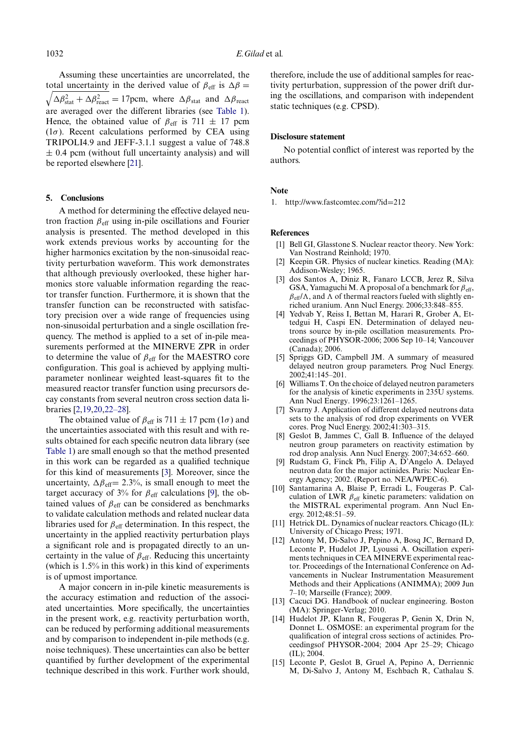Assuming these uncertainties are uncorrelated, the total uncertainty in the derived value of  $\beta_{\text{eff}}$  is  $\Delta \beta =$  $\sqrt{\Delta \beta_{\text{stat}}^2 + \Delta \beta_{\text{react}}^2} = 17$  pcm, where  $\Delta \beta_{\text{stat}}$  and  $\Delta \beta_{\text{react}}$ are averaged over the different libraries (see [Table 1\)](#page-6-1). Hence, the obtained value of  $\beta_{\text{eff}}$  is 711  $\pm$  17 pcm  $(1\sigma)$ . Recent calculations performed by CEA using TRIPOLI4.9 and JEFF-3.1.1 suggest a value of 748.8  $\pm$  0.4 pcm (without full uncertainty analysis) and will be reported elsewhere [\[21\]](#page-8-12).

#### **5. Conclusions**

A method for determining the effective delayed neutron fraction  $\beta_{\text{eff}}$  using in-pile oscillations and Fourier analysis is presented. The method developed in this work extends previous works by accounting for the higher harmonics excitation by the non-sinusoidal reactivity perturbation waveform. This work demonstrates that although previously overlooked, these higher harmonics store valuable information regarding the reactor transfer function. Furthermore, it is shown that the transfer function can be reconstructed with satisfactory precision over a wide range of frequencies using non-sinusoidal perturbation and a single oscillation frequency. The method is applied to a set of in-pile measurements performed at the MINERVE ZPR in order to determine the value of  $\beta_{\text{eff}}$  for the MAESTRO core configuration. This goal is achieved by applying multiparameter nonlinear weighted least-squares fit to the measured reactor transfer function using precursors decay constants from several neutron cross section data libraries [\[2](#page-7-1)[,19](#page-8-3)[,20,](#page-8-4)[22–28\]](#page-8-5).

The obtained value of  $\beta_{\text{eff}}$  is 711  $\pm$  17 pcm (1 $\sigma$ ) and the uncertainties associated with this result and with results obtained for each specific neutron data library (see [Table 1\)](#page-6-1) are small enough so that the method presented in this work can be regarded as a qualified technique for this kind of measurements [\[3\]](#page-7-2). Moreover, since the uncertainty,  $\Delta \beta_{\text{eff}}$ = 2.3%, is small enough to meet the target accuracy of 3% for  $\beta_{\text{eff}}$  calculations [\[9\]](#page-7-6), the obtained values of  $\beta_{\text{eff}}$  can be considered as benchmarks to validate calculation methods and related nuclear data libraries used for  $\beta_{\text{eff}}$  determination. In this respect, the uncertainty in the applied reactivity perturbation plays a significant role and is propagated directly to an uncertainty in the value of  $\beta_{\text{eff}}$ . Reducing this uncertainty (which is 1.5% in this work) in this kind of experiments is of upmost importance.

A major concern in in-pile kinetic measurements is the accuracy estimation and reduction of the associated uncertainties. More specifically, the uncertainties in the present work, e.g. reactivity perturbation worth, can be reduced by performing additional measurements and by comparison to independent in-pile methods (e.g. noise techniques). These uncertainties can also be better quantified by further development of the experimental technique described in this work. Further work should, therefore, include the use of additional samples for reactivity perturbation, suppression of the power drift during the oscillations, and comparison with independent static techniques (e.g. CPSD).

#### **Disclosure statement**

No potential conflict of interest was reported by the authors.

#### **Note**

<span id="page-7-13"></span>1. [http://www.fastcomtec.com/?id](http://www.fastcomtec.com/?id=212)=212

#### **References**

- <span id="page-7-0"></span>[1] Bell GI, Glasstone S. Nuclear reactor theory. New York: Van Nostrand Reinhold; 1970.
- <span id="page-7-1"></span>[2] Keepin GR. Physics of nuclear kinetics. Reading (MA): Addison-Wesley; 1965.
- <span id="page-7-2"></span>[3] dos Santos A, Diniz R, Fanaro LCCB, Jerez R, Silva GSA, Yamaguchi M. A proposal of a benchmark for  $\beta_{\text{eff}}$ ,  $\beta_{\text{eff}}/\Lambda$ , and  $\Lambda$  of thermal reactors fueled with slightly enriched uranium. Ann Nucl Energy. 2006;33:848–855.
- <span id="page-7-3"></span>[4] Yedvab Y, Reiss I, Bettan M, Harari R, Grober A, Ettedgui H, Caspi EN. Determination of delayed neutrons source by in-pile oscillation measurements. Proceedings of PHYSOR-2006; 2006 Sep 10–14; Vancouver (Canada); 2006.
- <span id="page-7-4"></span>[5] Spriggs GD, Campbell JM. A summary of measured delayed neutron group parameters. Prog Nucl Energy. 2002;41:145–201.
- <span id="page-7-5"></span>[6] Williams T. On the choice of delayed neutron parameters for the analysis of kinetic experiments in 235U systems. Ann Nucl Energy. 1996;23:1261–1265.
- [7] Svarny J. Application of different delayed neutrons data sets to the analysis of rod drop experiments on VVER cores. Prog Nucl Energy. 2002;41:303–315.
- [8] Geslot B, Jammes C, Gall B. Influence of the delayed neutron group parameters on reactivity estimation by rod drop analysis. Ann Nucl Energy. 2007;34:652–660.
- <span id="page-7-6"></span>[9] Rudstam G, Finck Ph, Filip A, D'Angelo A. Delayed neutron data for the major actinides. Paris: Nuclear Energy Agency; 2002. (Report no. NEA/WPEC-6).
- <span id="page-7-7"></span>[10] Santamarina A, Blaise P, Erradi L, Fougeras P. Calculation of LWR  $\beta_{\text{eff}}$  kinetic parameters: validation on the MISTRAL experimental program. Ann Nucl Energy. 2012;48:51–59.
- <span id="page-7-8"></span>[11] Hetrick DL. Dynamics of nuclear reactors. Chicago (IL): University of Chicago Press; 1971.
- <span id="page-7-9"></span>[12] Antony M, Di-Salvo J, Pepino A, Bosq JC, Bernard D, Leconte P, Hudelot JP, Lyoussi A. Oscillation experiments techniques in CEA MINERVE experimental reactor. Proceedings of the International Conference on Advancements in Nuclear Instrumentation Measurement Methods and their Applications (ANIMMA); 2009 Jun 7–10; Marseille (France); 2009.
- <span id="page-7-10"></span>[13] Cacuci DG. Handbook of nuclear engineering. Boston (MA): Springer-Verlag; 2010.
- <span id="page-7-11"></span>[14] Hudelot JP, Klann R, Fougeras P, Genin X, Drin N, Donnet L. OSMOSE: an experimental program for the qualification of integral cross sections of actinides. Proceedingsof PHYSOR-2004; 2004 Apr 25–29; Chicago  $(IL): 2004$
- <span id="page-7-12"></span>[15] Leconte P, Geslot B, Gruel A, Pepino A, Derriennic M, Di-Salvo J, Antony M, Eschbach R, Cathalau S.